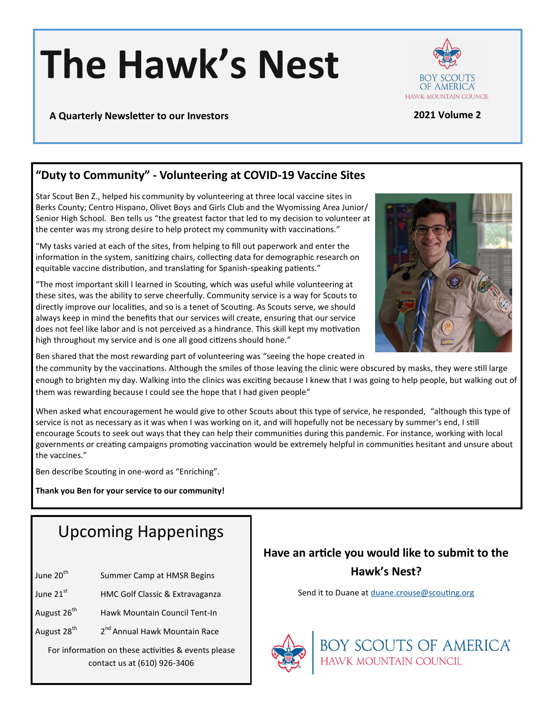# **The Hawk's Nest**



### **A Quarterly Newsletter to our Investors 2021 Volume 2**

# **"Duty to Community" - Volunteering at COVID-19 Vaccine Sites**

Star Scout Ben Z., helped his community by volunteering at three local vaccine sites in Berks County; Centro Hispano, Olivet Boys and Girls Club and the Wyomissing Area Junior/ Senior High School. Ben tells us "the greatest factor that led to my decision to volunteer at the center was my strong desire to help protect my community with vaccinations."

"My tasks varied at each of the sites, from helping to fill out paperwork and enter the information in the system, sanitizing chairs, collecting data for demographic research on equitable vaccine distribution, and translating for Spanish-speaking patients."

"The most important skill I learned in Scouting, which was useful while volunteering at these sites, was the ability to serve cheerfully. Community service is a way for Scouts to directly improve our localities, and so is a tenet of Scouting. As Scouts serve, we should always keep in mind the benefits that our services will create, ensuring that our service does not feel like labor and is not perceived as a hindrance. This skill kept my motivation high throughout my service and is one all good citizens should hone."



Ben shared that the most rewarding part of volunteering was "seeing the hope created in

the community by the vaccinations. Although the smiles of those leaving the clinic were obscured by masks, they were still large enough to brighten my day. Walking into the clinics was exciting because I knew that I was going to help people, but walking out of them was rewarding because I could see the hope that I had given people"

When asked what encouragement he would give to other Scouts about this type of service, he responded, "although this type of service is not as necessary as it was when I was working on it, and will hopefully not be necessary by summer's end, I still encourage Scouts to seek out ways that they can help their communities during this pandemic. For instance, working with local governments or creating campaigns promoting vaccination would be extremely helpful in communities hesitant and unsure about the vaccines."

Ben describe Scouting in one-word as "Enriching".

**Thank you Ben for your service to our community!** 

# Upcoming Happenings

- June 20<sup>th</sup> Summer Camp at HMSR Begins
- June 21st HMC Golf Classic & Extravaganza
- August 26<sup>th</sup> Hawk Mountain Council Tent-In
- August 28<sup>th</sup> 2<sup>nd</sup> Annual Hawk Mountain Race

For information on these activities & events please contact us at (610) 926-3406

# **Have an article you would like to submit to the Hawk's Nest?**

Send it to Duane at [duane.crouse@scouting.org](mailto:duane.crouse@scouting.org?subject=Hawk)